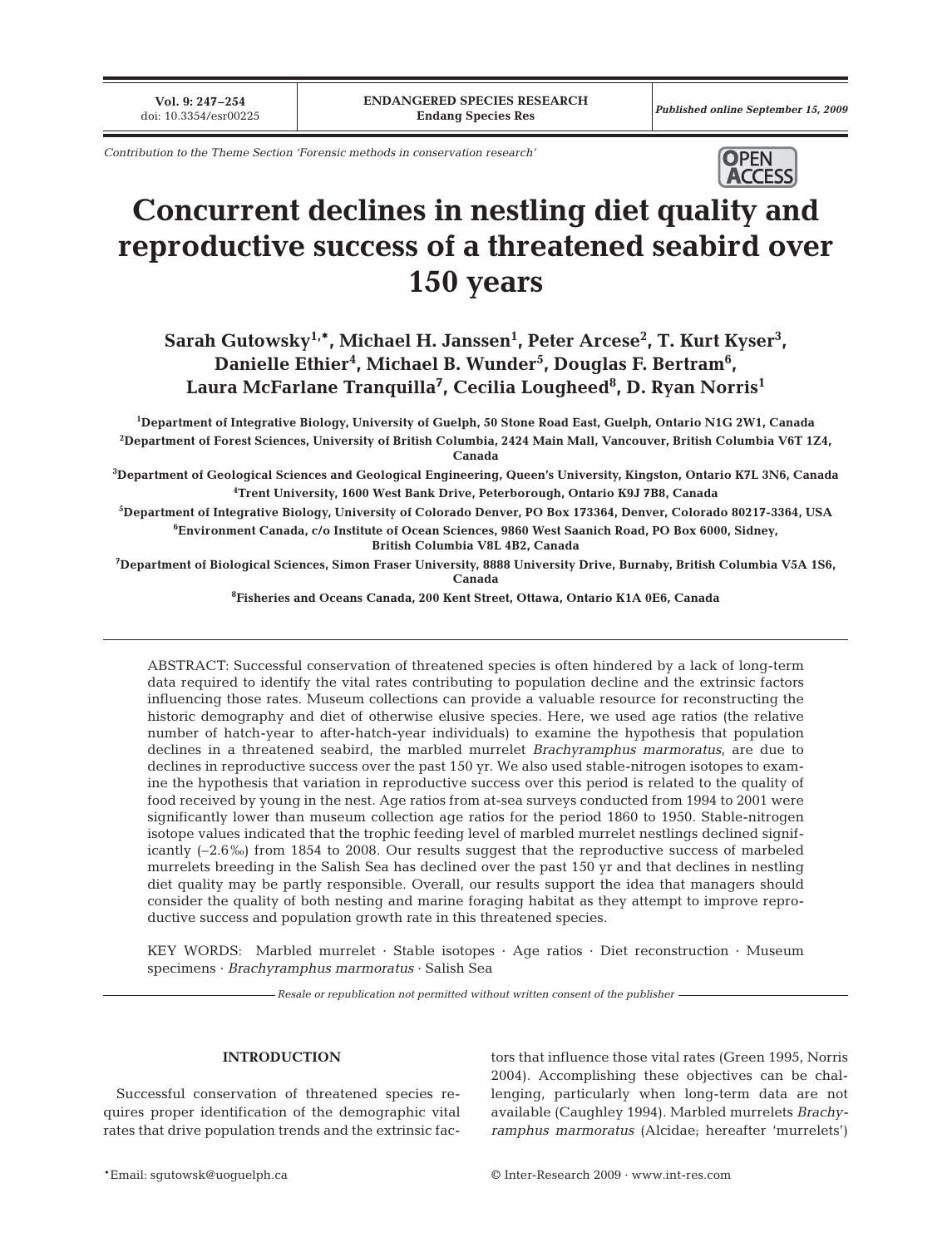**Vol. 9: 247–254**<br>doi: 10.3354/esr00225

*Contribution to the Theme Section 'Forensic methods in conservation research'* 



# **Concurrent declines in nestling diet quality and reproductive success of a threatened seabird over 150 years**

 $\mathbf{Sarah}\ \mathbf{Gutowsky}^{1,\ast}, \mathbf{Michael}\ \mathbf{H.}\ \mathbf{Janssen}^{1}$ ,  $\mathbf{Peter}\ \mathbf{Arcese}^{2}$ ,  $\mathbf{T.}\ \mathbf{Kurt}\ \mathbf{Kyser}^{3}$ , **Danielle Ethier4 , Michael B. Wunder5 , Douglas F. Bertram6 , Laura McFarlane Tranquilla7 , Cecilia Lougheed8 , D. Ryan Norris1**

**1 Department of Integrative Biology, University of Guelph, 50 Stone Road East, Guelph, Ontario N1G 2W1, Canada 2 Department of Forest Sciences, University of British Columbia, 2424 Main Mall, Vancouver, British Columbia V6T 1Z4, Canada**

**3 Department of Geological Sciences and Geological Engineering, Queen's University, Kingston, Ontario K7L 3N6, Canada 4 Trent University, 1600 West Bank Drive, Peterborough, Ontario K9J 7B8, Canada** 

**5 Department of Integrative Biology, University of Colorado Denver, PO Box 173364, Denver, Colorado 80217-3364, USA 6 Environment Canada, c/o Institute of Ocean Sciences, 9860 West Saanich Road, PO Box 6000, Sidney,**

**British Columbia V8L 4B2, Canada**

**7 Department of Biological Sciences, Simon Fraser University, 8888 University Drive, Burnaby, British Columbia V5A 1S6, Canada**

**8 Fisheries and Oceans Canada, 200 Kent Street, Ottawa, Ontario K1A 0E6, Canada**

ABSTRACT: Successful conservation of threatened species is often hindered by a lack of long-term data required to identify the vital rates contributing to population decline and the extrinsic factors influencing those rates. Museum collections can provide a valuable resource for reconstructing the historic demography and diet of otherwise elusive species. Here, we used age ratios (the relative number of hatch-year to after-hatch-year individuals) to examine the hypothesis that population declines in a threatened seabird, the marbled murrelet *Brachyramphus marmoratus*, are due to declines in reproductive success over the past 150 yr. We also used stable-nitrogen isotopes to examine the hypothesis that variation in reproductive success over this period is related to the quality of food received by young in the nest. Age ratios from at-sea surveys conducted from 1994 to 2001 were significantly lower than museum collection age ratios for the period 1860 to 1950. Stable-nitrogen isotope values indicated that the trophic feeding level of marbled murrelet nestlings declined significantly (–2.6‰) from 1854 to 2008. Our results suggest that the reproductive success of marbeled murrelets breeding in the Salish Sea has declined over the past 150 yr and that declines in nestling diet quality may be partly responsible. Overall, our results support the idea that managers should consider the quality of both nesting and marine foraging habitat as they attempt to improve reproductive success and population growth rate in this threatened species.

KEY WORDS: Marbled murrelet · Stable isotopes · Age ratios · Diet reconstruction · Museum specimens · *Brachyramphus marmoratus* · Salish Sea

*Resale or republication not permitted without written consent of the publisher*

### **INTRODUCTION**

Successful conservation of threatened species requires proper identification of the demographic vital rates that drive population trends and the extrinsic factors that influence those vital rates (Green 1995, Norris 2004). Accomplishing these objectives can be challenging, particularly when long-term data are not available (Caughley 1994). Marbled murrelets *Brachyramphus marmoratus* (Alcidae; hereafter 'murrelets')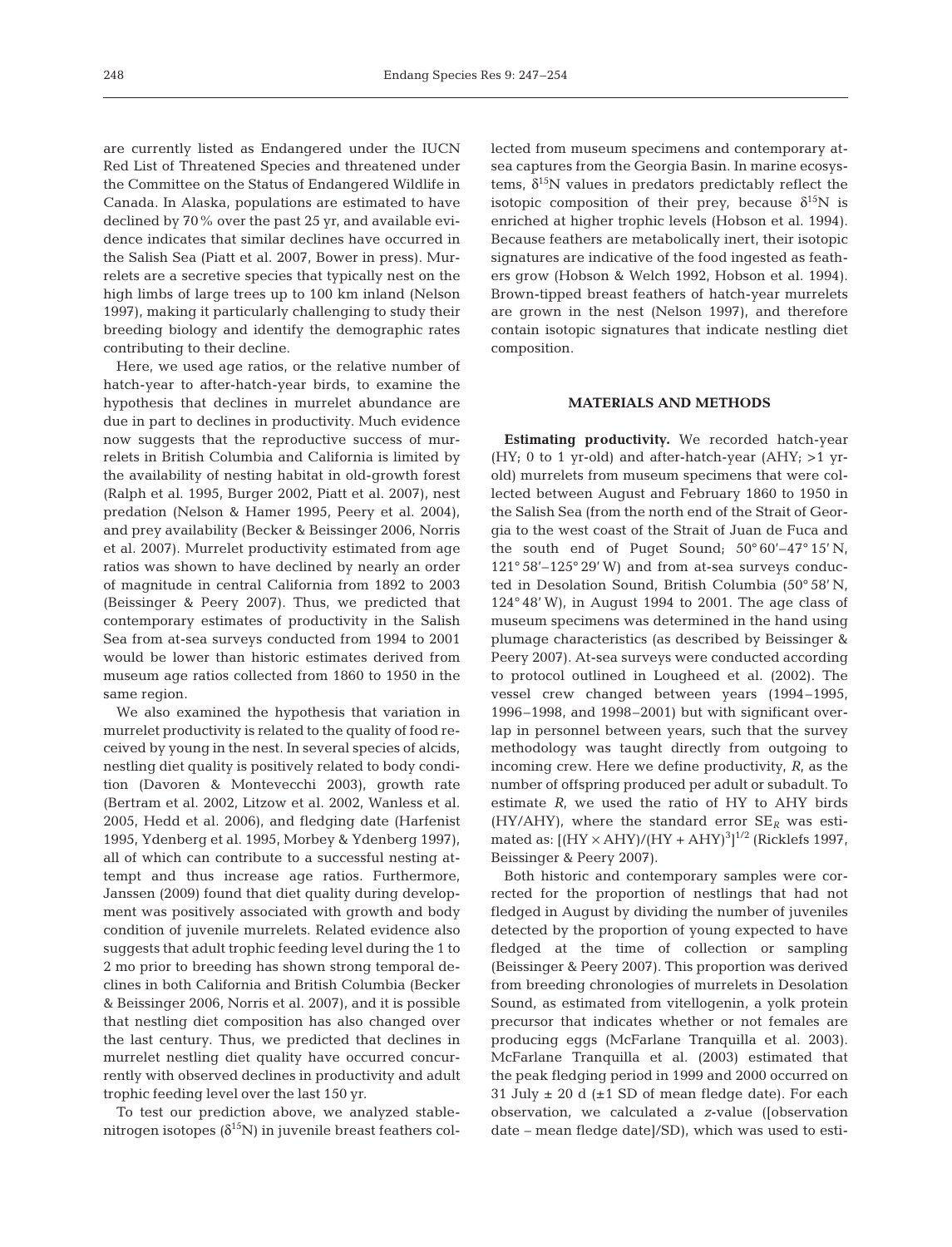are currently listed as Endangered under the IUCN Red List of Threatened Species and threatened under the Committee on the Status of Endangered Wildlife in Canada. In Alaska, populations are estimated to have declined by 70% over the past 25 yr, and available evidence indicates that similar declines have occurred in the Salish Sea (Piatt et al. 2007, Bower in press). Murrelets are a secretive species that typically nest on the high limbs of large trees up to 100 km inland (Nelson 1997), making it particularly challenging to study their breeding biology and identify the demographic rates contributing to their decline.

Here, we used age ratios, or the relative number of hatch-year to after-hatch-year birds, to examine the hypothesis that declines in murrelet abundance are due in part to declines in productivity. Much evidence now suggests that the reproductive success of murrelets in British Columbia and California is limited by the availability of nesting habitat in old-growth forest (Ralph et al. 1995, Burger 2002, Piatt et al. 2007), nest predation (Nelson & Hamer 1995, Peery et al. 2004), and prey availability (Becker & Beissinger 2006, Norris et al. 2007). Murrelet productivity estimated from age ratios was shown to have declined by nearly an order of magnitude in central California from 1892 to 2003 (Beissinger & Peery 2007). Thus, we predicted that contemporary estimates of productivity in the Salish Sea from at-sea surveys conducted from 1994 to 2001 would be lower than historic estimates derived from museum age ratios collected from 1860 to 1950 in the same region.

We also examined the hypothesis that variation in murrelet productivity is related to the quality of food received by young in the nest. In several species of alcids, nestling diet quality is positively related to body condition (Davoren & Montevecchi 2003), growth rate (Bertram et al. 2002, Litzow et al. 2002, Wanless et al. 2005, Hedd et al. 2006), and fledging date (Harfenist 1995, Ydenberg et al. 1995, Morbey & Ydenberg 1997), all of which can contribute to a successful nesting attempt and thus increase age ratios. Furthermore, Janssen (2009) found that diet quality during development was positively associated with growth and body condition of juvenile murrelets. Related evidence also suggests that adult trophic feeding level during the 1 to 2 mo prior to breeding has shown strong temporal declines in both California and British Columbia (Becker & Beissinger 2006, Norris et al. 2007), and it is possible that nestling diet composition has also changed over the last century. Thus, we predicted that declines in murrelet nestling diet quality have occurred concurrently with observed declines in productivity and adult trophic feeding level over the last 150 yr.

To test our prediction above, we analyzed stablenitrogen isotopes  $(\delta^{15}N)$  in juvenile breast feathers collected from museum specimens and contemporary atsea captures from the Georgia Basin. In marine ecosystems,  $δ<sup>15</sup>N$  values in predators predictably reflect the isotopic composition of their prey, because  $\delta^{15}N$  is enriched at higher trophic levels (Hobson et al. 1994). Because feathers are metabolically inert, their isotopic signatures are indicative of the food ingested as feathers grow (Hobson & Welch 1992, Hobson et al. 1994). Brown-tipped breast feathers of hatch-year murrelets are grown in the nest (Nelson 1997), and therefore contain isotopic signatures that indicate nestling diet composition.

## **MATERIALS AND METHODS**

**Estimating productivity.** We recorded hatch-year (HY; 0 to 1 yr-old) and after-hatch-year (AHY;  $>1$  yrold) murrelets from museum specimens that were collected between August and February 1860 to 1950 in the Salish Sea (from the north end of the Strait of Georgia to the west coast of the Strait of Juan de Fuca and the south end of Puget Sound; 50° 60'–47° 15' N, 121° 58'–125° 29' W) and from at-sea surveys conducted in Desolation Sound, British Columbia (50° 58' N, 124° 48' W), in August 1994 to 2001. The age class of museum specimens was determined in the hand using plumage characteristics (as described by Beissinger & Peery 2007). At-sea surveys were conducted according to protocol outlined in Lougheed et al. (2002). The vessel crew changed between years (1994–1995, 1996–1998, and 1998–2001) but with significant overlap in personnel between years, such that the survey methodology was taught directly from outgoing to incoming crew. Here we define productivity, *R*, as the number of offspring produced per adult or subadult. To estimate *R*, we used the ratio of HY to AHY birds (HY/AHY), where the standard error  $SE<sub>R</sub>$  was estimated as:  $[(HY \times AHY)/(HY + AHY)^3]^{1/2}$  (Ricklefs 1997, Beissinger & Peery 2007).

Both historic and contemporary samples were corrected for the proportion of nestlings that had not fledged in August by dividing the number of juveniles detected by the proportion of young expected to have fledged at the time of collection or sampling (Beissinger & Peery 2007). This proportion was derived from breeding chronologies of murrelets in Desolation Sound, as estimated from vitellogenin, a yolk protein precursor that indicates whether or not females are producing eggs (McFarlane Tranquilla et al. 2003). McFarlane Tranquilla et al. (2003) estimated that the peak fledging period in 1999 and 2000 occurred on 31 July  $\pm$  20 d ( $\pm$ 1 SD of mean fledge date). For each observation, we calculated a *z*-value ([observation date – mean fledge date]/SD), which was used to esti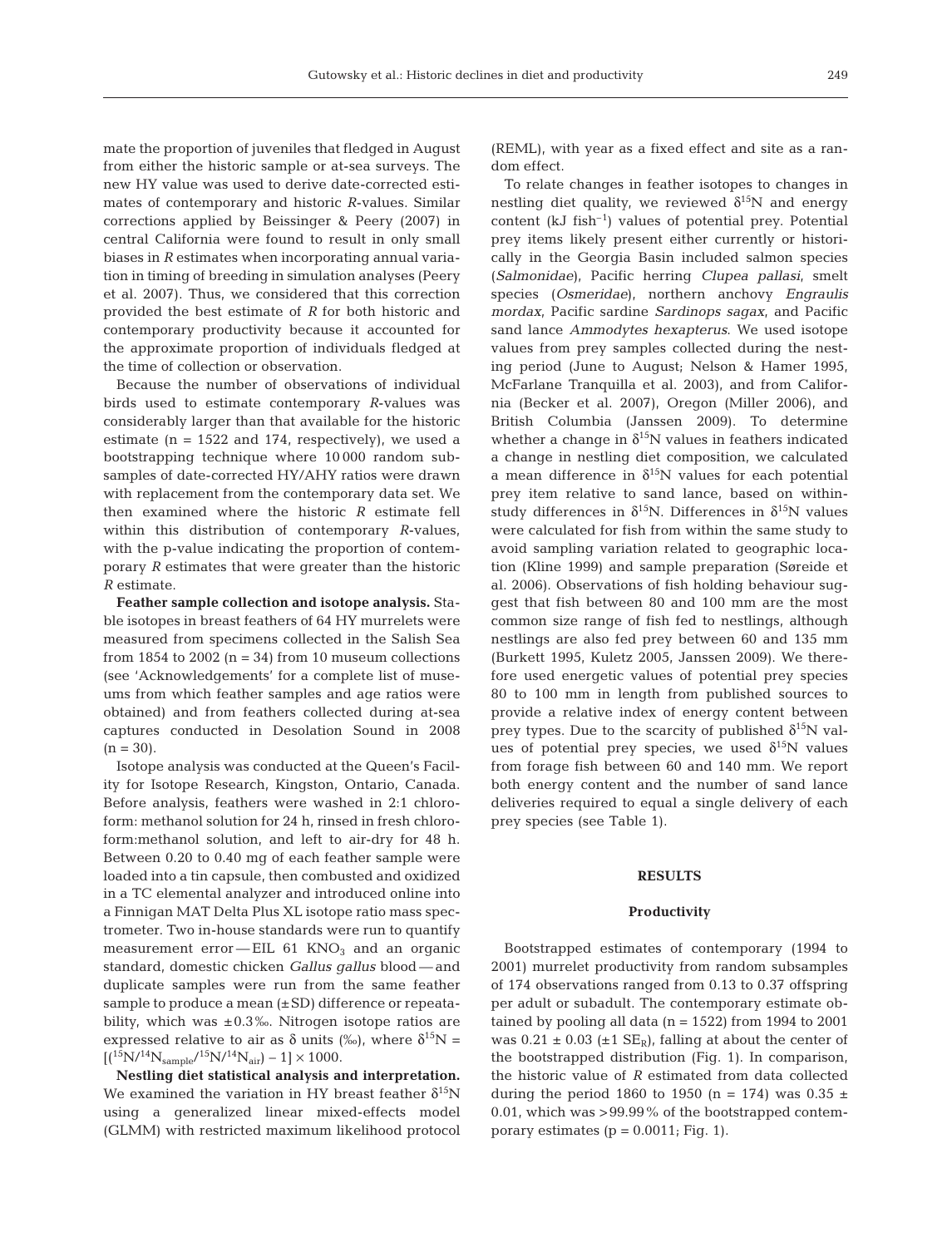mate the proportion of juveniles that fledged in August from either the historic sample or at-sea surveys. The new HY value was used to derive date-corrected estimates of contemporary and historic *R*-values. Similar corrections applied by Beissinger & Peery (2007) in central California were found to result in only small biases in *R* estimates when incorporating annual variation in timing of breeding in simulation analyses (Peery et al. 2007). Thus, we considered that this correction provided the best estimate of *R* for both historic and contemporary productivity because it accounted for the approximate proportion of individuals fledged at the time of collection or observation.

Because the number of observations of individual birds used to estimate contemporary *R*-values was considerably larger than that available for the historic estimate ( $n = 1522$  and 174, respectively), we used a bootstrapping technique where 10 000 random subsamples of date-corrected HY/AHY ratios were drawn with replacement from the contemporary data set. We then examined where the historic *R* estimate fell within this distribution of contemporary *R*-values, with the p-value indicating the proportion of contemporary *R* estimates that were greater than the historic *R* estimate.

**Feather sample collection and isotope analysis.** Stable isotopes in breast feathers of 64 HY murrelets were measured from specimens collected in the Salish Sea from 1854 to 2002  $(n = 34)$  from 10 museum collections (see 'Acknowledgements' for a complete list of museums from which feather samples and age ratios were obtained) and from feathers collected during at-sea captures conducted in Desolation Sound in 2008  $(n = 30)$ .

Isotope analysis was conducted at the Queen's Facility for Isotope Research, Kingston, Ontario, Canada. Before analysis, feathers were washed in 2:1 chloroform: methanol solution for 24 h, rinsed in fresh chloroform:methanol solution, and left to air-dry for 48 h. Between 0.20 to 0.40 mg of each feather sample were loaded into a tin capsule, then combusted and oxidized in a TC elemental analyzer and introduced online into a Finnigan MAT Delta Plus XL isotope ratio mass spectrometer. Two in-house standards were run to quantify measurement error—EIL  $61$  KNO<sub>3</sub> and an organic standard, domestic chicken *Gallus gallus* blood — and duplicate samples were run from the same feather sample to produce a mean  $(\pm SD)$  difference or repeatability, which was  $\pm 0.3\%$ . Nitrogen isotope ratios are expressed relative to air as  $\delta$  units (‰), where  $\delta^{15}N =$  $[(15N/14N_{sample}/15N/14N_{air}) - 1] \times 1000$ .

**Nestling diet statistical analysis and interpretation.** We examined the variation in HY breast feather  $\delta^{15}N$ using a generalized linear mixed-effects model (GLMM) with restricted maximum likelihood protocol (REML), with year as a fixed effect and site as a random effect.

To relate changes in feather isotopes to changes in nestling diet quality, we reviewed  $\delta^{15}N$  and energy content  $(kJ \text{ fish}^{-1})$  values of potential prey. Potential prey items likely present either currently or historically in the Georgia Basin included salmon species (*Salmonidae*), Pacific herring *Clupea pallasi*, smelt species (*Osmeridae*), northern anchovy *Engraulis mordax*, Pacific sardine *Sardinops sagax*, and Pacific sand lance *Ammodytes hexapterus*. We used isotope values from prey samples collected during the nesting period (June to August; Nelson & Hamer 1995, McFarlane Tranquilla et al. 2003), and from California (Becker et al. 2007), Oregon (Miller 2006), and British Columbia (Janssen 2009). To determine whether a change in  $\delta^{15}N$  values in feathers indicated a change in nestling diet composition, we calculated a mean difference in  $\delta^{15}N$  values for each potential prey item relative to sand lance, based on withinstudy differences in  $\delta^{15}N$ . Differences in  $\delta^{15}N$  values were calculated for fish from within the same study to avoid sampling variation related to geographic location (Kline 1999) and sample preparation (Søreide et al. 2006). Observations of fish holding behaviour suggest that fish between 80 and 100 mm are the most common size range of fish fed to nestlings, although nestlings are also fed prey between 60 and 135 mm (Burkett 1995, Kuletz 2005, Janssen 2009). We therefore used energetic values of potential prey species 80 to 100 mm in length from published sources to provide a relative index of energy content between prey types. Due to the scarcity of published  $\delta^{15}N$  values of potential prey species, we used  $\delta^{15}N$  values from forage fish between 60 and 140 mm. We report both energy content and the number of sand lance deliveries required to equal a single delivery of each prey species (see Table 1).

# **RESULTS**

#### **Productivity**

Bootstrapped estimates of contemporary (1994 to 2001) murrelet productivity from random subsamples of 174 observations ranged from 0.13 to 0.37 offspring per adult or subadult. The contemporary estimate obtained by pooling all data ( $n = 1522$ ) from 1994 to 2001 was  $0.21 \pm 0.03$  ( $\pm 1$  SE<sub>R</sub>), falling at about the center of the bootstrapped distribution (Fig. 1). In comparison, the historic value of *R* estimated from data collected during the period 1860 to 1950 (n = 174) was  $0.35 \pm$ 0.01, which was >99.99% of the bootstrapped contemporary estimates  $(p = 0.0011; Fig. 1)$ .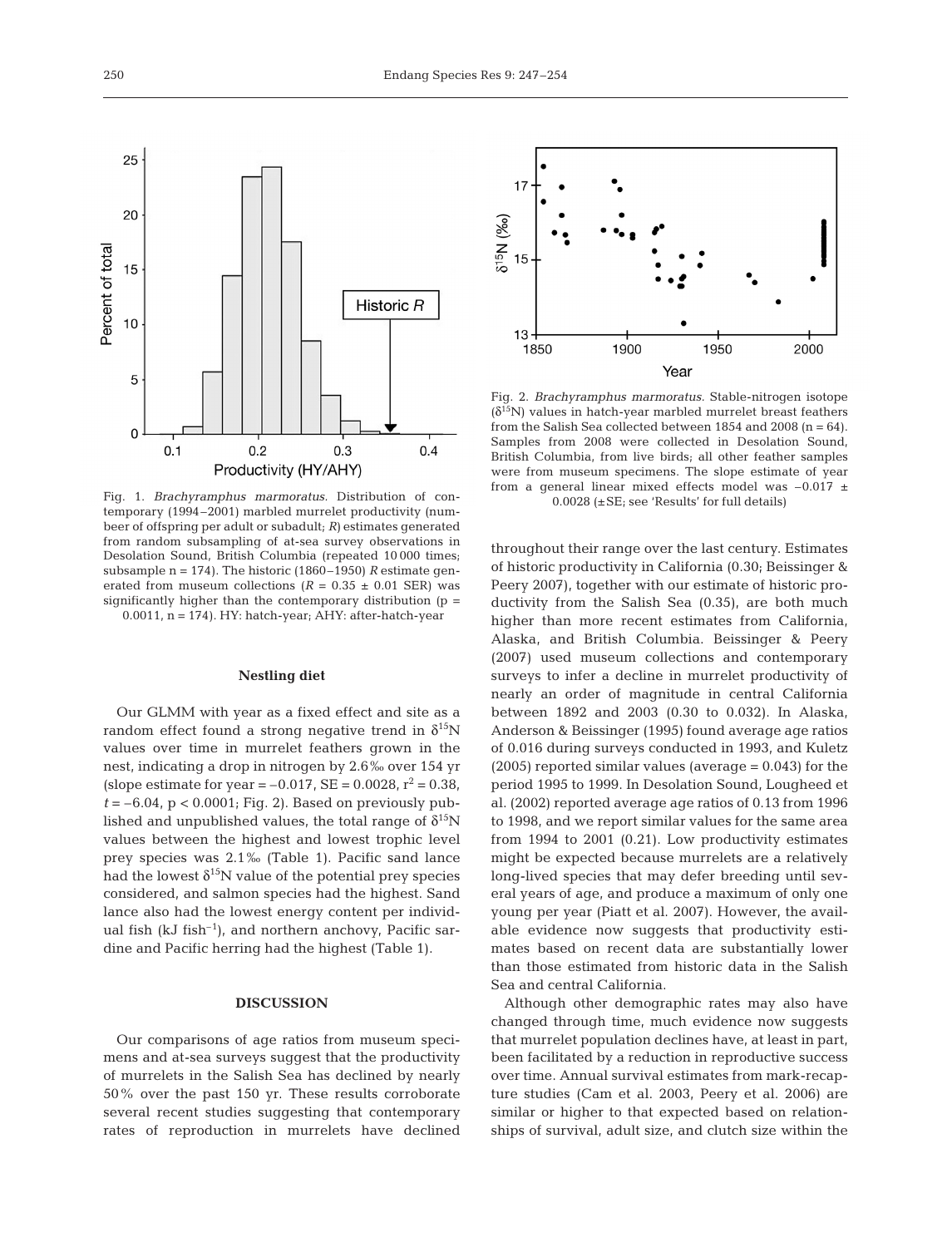Fig. 1. *Brachyramphus marmoratus.* Distribution of contemporary (1994–2001) marbled murrelet productivity (numbeer of offspring per adult or subadult; *R)* estimates generated from random subsampling of at-sea survey observations in Desolation Sound, British Columbia (repeated 10 000 times; subsample n = 174). The historic (1860–1950) *R* estimate generated from museum collections  $(R = 0.35 \pm 0.01$  SER) was significantly higher than the contemporary distribution (p =  $0.0011$ ,  $n = 174$ ). HY: hatch-year; AHY: after-hatch-year

## **Nestling diet**

Our GLMM with year as a fixed effect and site as a random effect found a strong negative trend in  $\delta^{15}N$ values over time in murrelet feathers grown in the nest, indicating a drop in nitrogen by 2.6‰ over 154 yr (slope estimate for year =  $-0.017$ , SE =  $0.0028$ , r<sup>2</sup> = 0.38,  $t = -6.04$ ,  $p < 0.0001$ ; Fig. 2). Based on previously published and unpublished values, the total range of  $\delta^{15}N$ values between the highest and lowest trophic level prey species was 2.1‰ (Table 1). Pacific sand lance had the lowest  $\delta^{15}N$  value of the potential prey species considered, and salmon species had the highest. Sand lance also had the lowest energy content per individual fish ( $kJ$  fish<sup>-1</sup>), and northern anchovy, Pacific sardine and Pacific herring had the highest (Table 1).

# **DISCUSSION**

Our comparisons of age ratios from museum specimens and at-sea surveys suggest that the productivity of murrelets in the Salish Sea has declined by nearly 50% over the past 150 yr. These results corroborate several recent studies suggesting that contemporary rates of reproduction in murrelets have declined



Fig. 2. *Brachyramphus marmoratus.* Stable-nitrogen isotope  $(\delta^{15}N)$  values in hatch-year marbled murrelet breast feathers from the Salish Sea collected between 1854 and 2008  $(n = 64)$ . Samples from 2008 were collected in Desolation Sound, British Columbia, from live birds; all other feather samples were from museum specimens. The slope estimate of year from a general linear mixed effects model was  $-0.017 \pm$ 0.0028 (±SE; see 'Results' for full details)

throughout their range over the last century. Estimates of historic productivity in California (0.30; Beissinger & Peery 2007), together with our estimate of historic productivity from the Salish Sea (0.35), are both much higher than more recent estimates from California, Alaska, and British Columbia. Beissinger & Peery (2007) used museum collections and contemporary surveys to infer a decline in murrelet productivity of nearly an order of magnitude in central California between 1892 and 2003 (0.30 to 0.032). In Alaska, Anderson & Beissinger (1995) found average age ratios of 0.016 during surveys conducted in 1993, and Kuletz  $(2005)$  reported similar values (average = 0.043) for the period 1995 to 1999. In Desolation Sound, Lougheed et al. (2002) reported average age ratios of 0.13 from 1996 to 1998, and we report similar values for the same area from 1994 to 2001 (0.21). Low productivity estimates might be expected because murrelets are a relatively long-lived species that may defer breeding until several years of age, and produce a maximum of only one young per year (Piatt et al. 2007). However, the available evidence now suggests that productivity estimates based on recent data are substantially lower than those estimated from historic data in the Salish Sea and central California.

Although other demographic rates may also have changed through time, much evidence now suggests that murrelet population declines have, at least in part, been facilitated by a reduction in reproductive success over time. Annual survival estimates from mark-recapture studies (Cam et al. 2003, Peery et al. 2006) are similar or higher to that expected based on relationships of survival, adult size, and clutch size within the

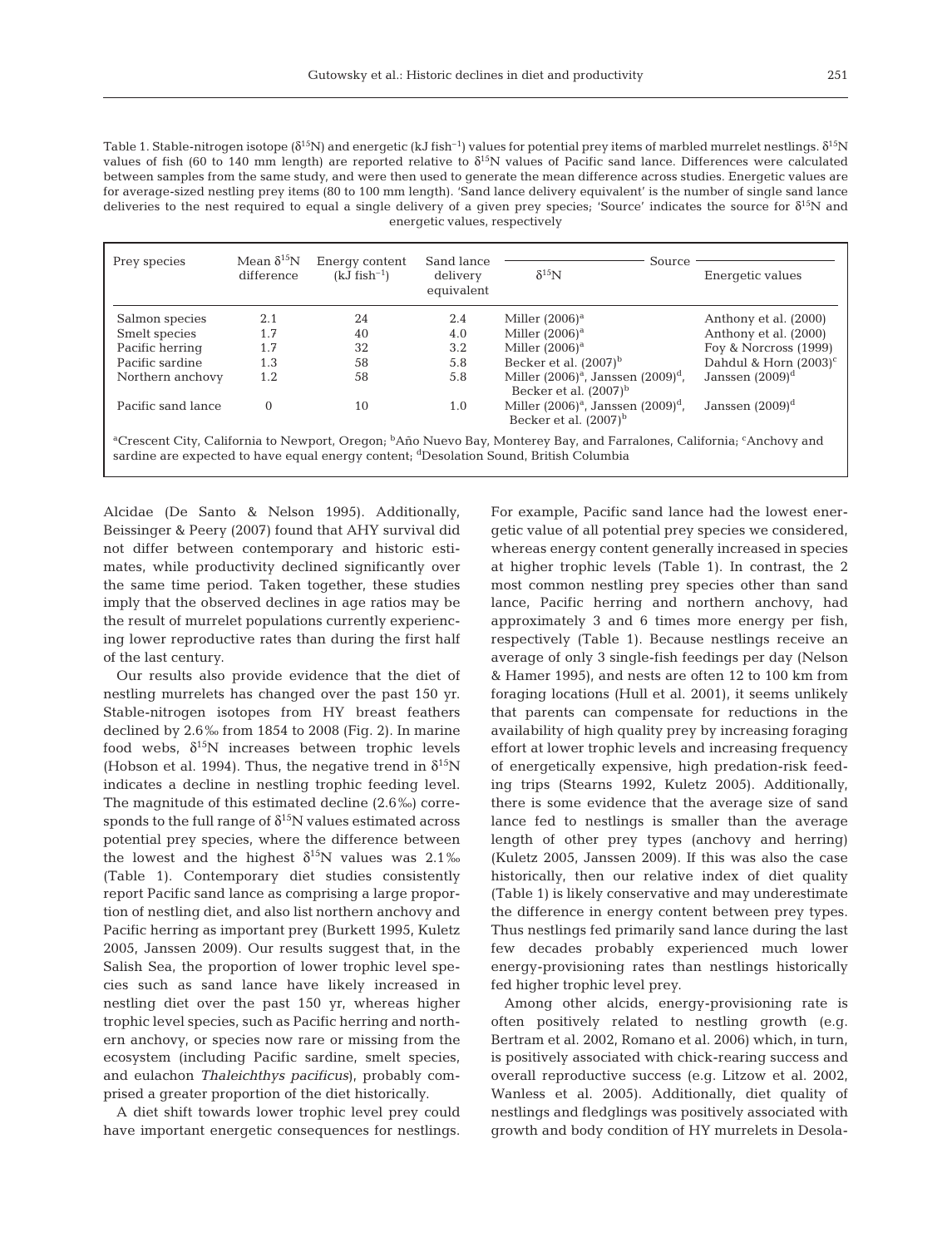Table 1. Stable-nitrogen isotope ( $\delta^{15}N$ ) and energetic (kJ fish<sup>-1</sup>) values for potential prey items of marbled murrelet nestlings.  $\delta^{15}N$ values of fish (60 to 140 mm length) are reported relative to  $\delta^{15}N$  values of Pacific sand lance. Differences were calculated between samples from the same study, and were then used to generate the mean difference across studies. Energetic values are for average-sized nestling prey items (80 to 100 mm length). 'Sand lance delivery equivalent' is the number of single sand lance deliveries to the nest required to equal a single delivery of a given prey species; 'Source' indicates the source for  $\delta^{15}N$  and energetic values, respectively

| Prey species                                                                                                                                                                                                                                        | Mean $\delta^{15}N$<br>difference | Energy content<br>$(kJ$ fish <sup>-1</sup> ) | Sand lance<br>delivery<br>equivalent | Source<br>$\delta^{15}$ N                                              | Energetic values         |
|-----------------------------------------------------------------------------------------------------------------------------------------------------------------------------------------------------------------------------------------------------|-----------------------------------|----------------------------------------------|--------------------------------------|------------------------------------------------------------------------|--------------------------|
| Salmon species                                                                                                                                                                                                                                      | 2.1                               | 24                                           | 2.4                                  | Miller $(2006)^a$                                                      | Anthony et al. (2000)    |
| Smelt species                                                                                                                                                                                                                                       | 1.7                               | 40                                           | 4.0                                  | Miller $(2006)^a$                                                      | Anthony et al. (2000)    |
| Pacific herring                                                                                                                                                                                                                                     | 1.7                               | 32                                           | 3.2                                  | Miller $(2006)^a$                                                      | Foy & Norcross (1999)    |
| Pacific sardine                                                                                                                                                                                                                                     | 1.3                               | 58                                           | 5.8                                  | Becker et al. $(2007)^b$                                               | Dahdul & Horn $(2003)^c$ |
| Northern anchovy                                                                                                                                                                                                                                    | 1.2                               | 58                                           | 5.8                                  | Miller $(2006)^a$ , Janssen $(2009)^d$ ,<br>Becker et al. $(2007)^{b}$ | Janssen $(2009)^d$       |
| Pacific sand lance                                                                                                                                                                                                                                  | $\Omega$                          | 10                                           | 1.0                                  | Miller $(2006)^a$ , Janssen $(2009)^d$ ,<br>Becker et al. $(2007)^{b}$ | Janssen $(2009)^d$       |
| <sup>a</sup> Crescent City, California to Newport, Oregon; <sup>b</sup> Año Nuevo Bay, Monterey Bay, and Farralones, California; <sup>c</sup> Anchovy and<br>sardine are expected to have equal energy content; dDesolation Sound, British Columbia |                                   |                                              |                                      |                                                                        |                          |

Alcidae (De Santo & Nelson 1995). Additionally, Beissinger & Peery (2007) found that AHY survival did not differ between contemporary and historic estimates, while productivity declined significantly over the same time period. Taken together, these studies imply that the observed declines in age ratios may be the result of murrelet populations currently experiencing lower reproductive rates than during the first half of the last century.

Our results also provide evidence that the diet of nestling murrelets has changed over the past 150 yr. Stable-nitrogen isotopes from HY breast feathers declined by 2.6‰ from 1854 to 2008 (Fig. 2). In marine food webs,  $\delta^{15}$ N increases between trophic levels (Hobson et al. 1994). Thus, the negative trend in  $\delta^{15}N$ indicates a decline in nestling trophic feeding level. The magnitude of this estimated decline (2.6‰) corresponds to the full range of  $\delta^{15}N$  values estimated across potential prey species, where the difference between the lowest and the highest  $\delta^{15}N$  values was 2.1‰ (Table 1). Contemporary diet studies consistently report Pacific sand lance as comprising a large proportion of nestling diet, and also list northern anchovy and Pacific herring as important prey (Burkett 1995, Kuletz 2005, Janssen 2009). Our results suggest that, in the Salish Sea, the proportion of lower trophic level species such as sand lance have likely increased in nestling diet over the past 150 yr, whereas higher trophic level species, such as Pacific herring and northern anchovy, or species now rare or missing from the ecosystem (including Pacific sardine, smelt species, and eulachon *Thaleichthys pacificus*), probably comprised a greater proportion of the diet historically.

A diet shift towards lower trophic level prey could have important energetic consequences for nestlings.

For example, Pacific sand lance had the lowest energetic value of all potential prey species we considered, whereas energy content generally increased in species at higher trophic levels (Table 1). In contrast, the 2 most common nestling prey species other than sand lance, Pacific herring and northern anchovy, had approximately 3 and 6 times more energy per fish, respectively (Table 1). Because nestlings receive an average of only 3 single-fish feedings per day (Nelson & Hamer 1995), and nests are often 12 to 100 km from foraging locations (Hull et al. 2001), it seems unlikely that parents can compensate for reductions in the availability of high quality prey by increasing foraging effort at lower trophic levels and increasing frequency of energetically expensive, high predation-risk feeding trips (Stearns 1992, Kuletz 2005). Additionally, there is some evidence that the average size of sand lance fed to nestlings is smaller than the average length of other prey types (anchovy and herring) (Kuletz 2005, Janssen 2009). If this was also the case historically, then our relative index of diet quality (Table 1) is likely conservative and may underestimate the difference in energy content between prey types. Thus nestlings fed primarily sand lance during the last few decades probably experienced much lower energy-provisioning rates than nestlings historically fed higher trophic level prey.

Among other alcids, energy-provisioning rate is often positively related to nestling growth (e.g. Bertram et al. 2002, Romano et al. 2006) which, in turn, is positively associated with chick-rearing success and overall reproductive success (e.g. Litzow et al. 2002, Wanless et al. 2005). Additionally, diet quality of nestlings and fledglings was positively associated with growth and body condition of HY murrelets in Desola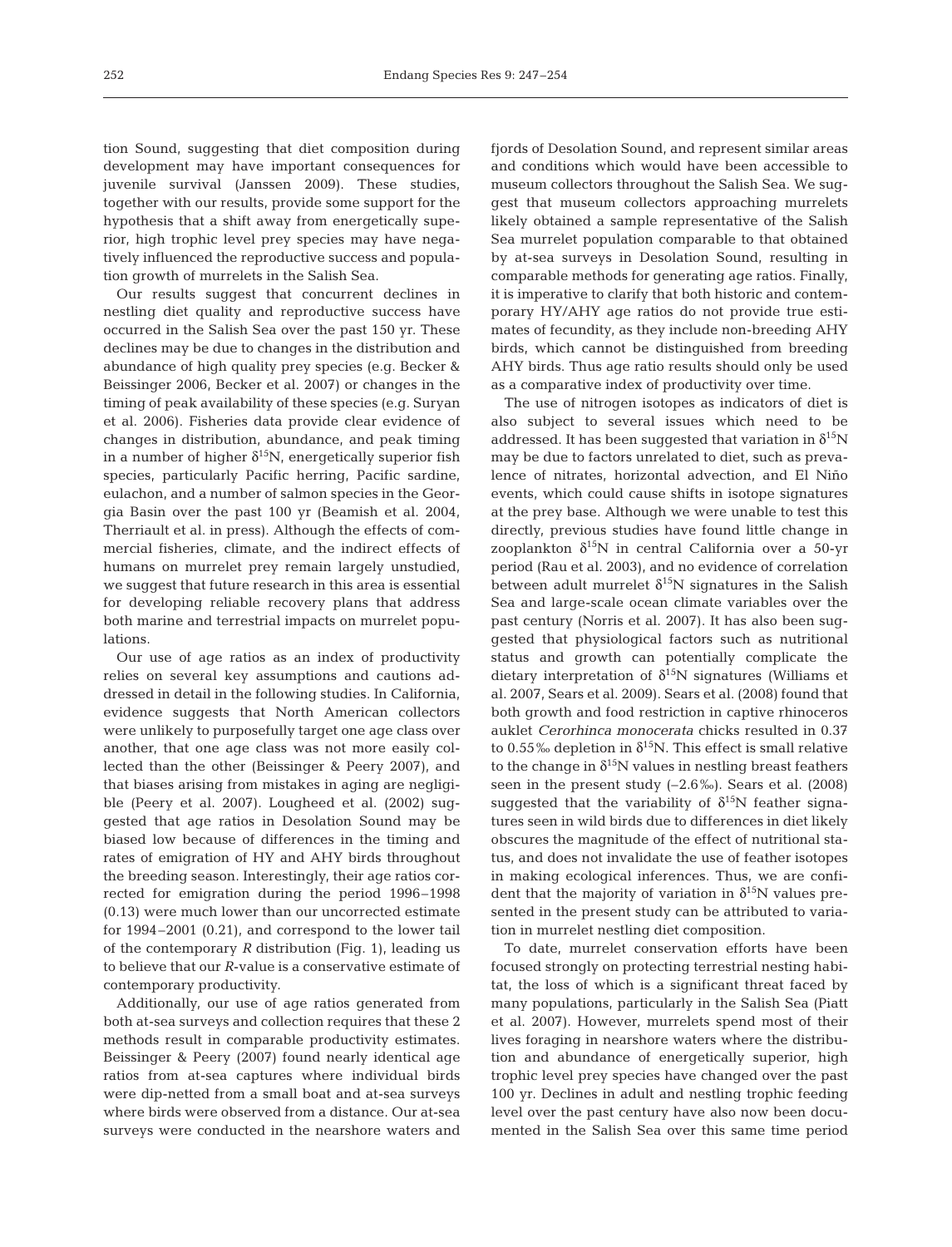tion Sound, suggesting that diet composition during development may have important consequences for juvenile survival (Janssen 2009). These studies, together with our results, provide some support for the hypothesis that a shift away from energetically superior, high trophic level prey species may have negatively influenced the reproductive success and population growth of murrelets in the Salish Sea.

Our results suggest that concurrent declines in nestling diet quality and reproductive success have occurred in the Salish Sea over the past 150 yr. These declines may be due to changes in the distribution and abundance of high quality prey species (e.g. Becker & Beissinger 2006, Becker et al. 2007) or changes in the timing of peak availability of these species (e.g. Suryan et al. 2006). Fisheries data provide clear evidence of changes in distribution, abundance, and peak timing in a number of higher  $\delta^{15}N$ , energetically superior fish species, particularly Pacific herring, Pacific sardine, eulachon, and a number of salmon species in the Georgia Basin over the past 100 yr (Beamish et al. 2004, Therriault et al. in press). Although the effects of commercial fisheries, climate, and the indirect effects of humans on murrelet prey remain largely unstudied, we suggest that future research in this area is essential for developing reliable recovery plans that address both marine and terrestrial impacts on murrelet populations.

Our use of age ratios as an index of productivity relies on several key assumptions and cautions addressed in detail in the following studies. In California, evidence suggests that North American collectors were unlikely to purposefully target one age class over another, that one age class was not more easily collected than the other (Beissinger & Peery 2007), and that biases arising from mistakes in aging are negligible (Peery et al. 2007). Lougheed et al. (2002) suggested that age ratios in Desolation Sound may be biased low because of differences in the timing and rates of emigration of HY and AHY birds throughout the breeding season. Interestingly, their age ratios corrected for emigration during the period 1996–1998 (0.13) were much lower than our uncorrected estimate for 1994–2001 (0.21), and correspond to the lower tail of the contemporary *R* distribution (Fig. 1), leading us to believe that our *R*-value is a conservative estimate of contemporary productivity.

Additionally, our use of age ratios generated from both at-sea surveys and collection requires that these 2 methods result in comparable productivity estimates. Beissinger & Peery (2007) found nearly identical age ratios from at-sea captures where individual birds were dip-netted from a small boat and at-sea surveys where birds were observed from a distance. Our at-sea surveys were conducted in the nearshore waters and fjords of Desolation Sound, and represent similar areas and conditions which would have been accessible to museum collectors throughout the Salish Sea. We suggest that museum collectors approaching murrelets likely obtained a sample representative of the Salish Sea murrelet population comparable to that obtained by at-sea surveys in Desolation Sound, resulting in comparable methods for generating age ratios. Finally, it is imperative to clarify that both historic and contemporary HY/AHY age ratios do not provide true estimates of fecundity, as they include non-breeding AHY birds, which cannot be distinguished from breeding AHY birds. Thus age ratio results should only be used as a comparative index of productivity over time.

The use of nitrogen isotopes as indicators of diet is also subject to several issues which need to be addressed. It has been suggested that variation in  $\delta^{15}N$ may be due to factors unrelated to diet, such as prevalence of nitrates, horizontal advection, and El Niño events, which could cause shifts in isotope signatures at the prey base. Although we were unable to test this directly, previous studies have found little change in zooplankton  $δ<sup>15</sup>N$  in central California over a 50-yr period (Rau et al. 2003), and no evidence of correlation between adult murrelet  $\delta^{15}N$  signatures in the Salish Sea and large-scale ocean climate variables over the past century (Norris et al. 2007). It has also been suggested that physiological factors such as nutritional status and growth can potentially complicate the dietary interpretation of  $\delta^{15}N$  signatures (Williams et al. 2007, Sears et al. 2009). Sears et al. (2008) found that both growth and food restriction in captive rhinoceros auklet *Cerorhinca monocerata* chicks resulted in 0.37 to 0.55‰ depletion in  $\delta^{15}N$ . This effect is small relative to the change in  $\delta^{15}N$  values in nestling breast feathers seen in the present study (–2.6‰). Sears et al. (2008) suggested that the variability of  $\delta^{15}N$  feather signatures seen in wild birds due to differences in diet likely obscures the magnitude of the effect of nutritional status, and does not invalidate the use of feather isotopes in making ecological inferences. Thus, we are confident that the majority of variation in  $\delta^{15}N$  values presented in the present study can be attributed to variation in murrelet nestling diet composition.

To date, murrelet conservation efforts have been focused strongly on protecting terrestrial nesting habitat, the loss of which is a significant threat faced by many populations, particularly in the Salish Sea (Piatt et al. 2007). However, murrelets spend most of their lives foraging in nearshore waters where the distribution and abundance of energetically superior, high trophic level prey species have changed over the past 100 yr. Declines in adult and nestling trophic feeding level over the past century have also now been documented in the Salish Sea over this same time period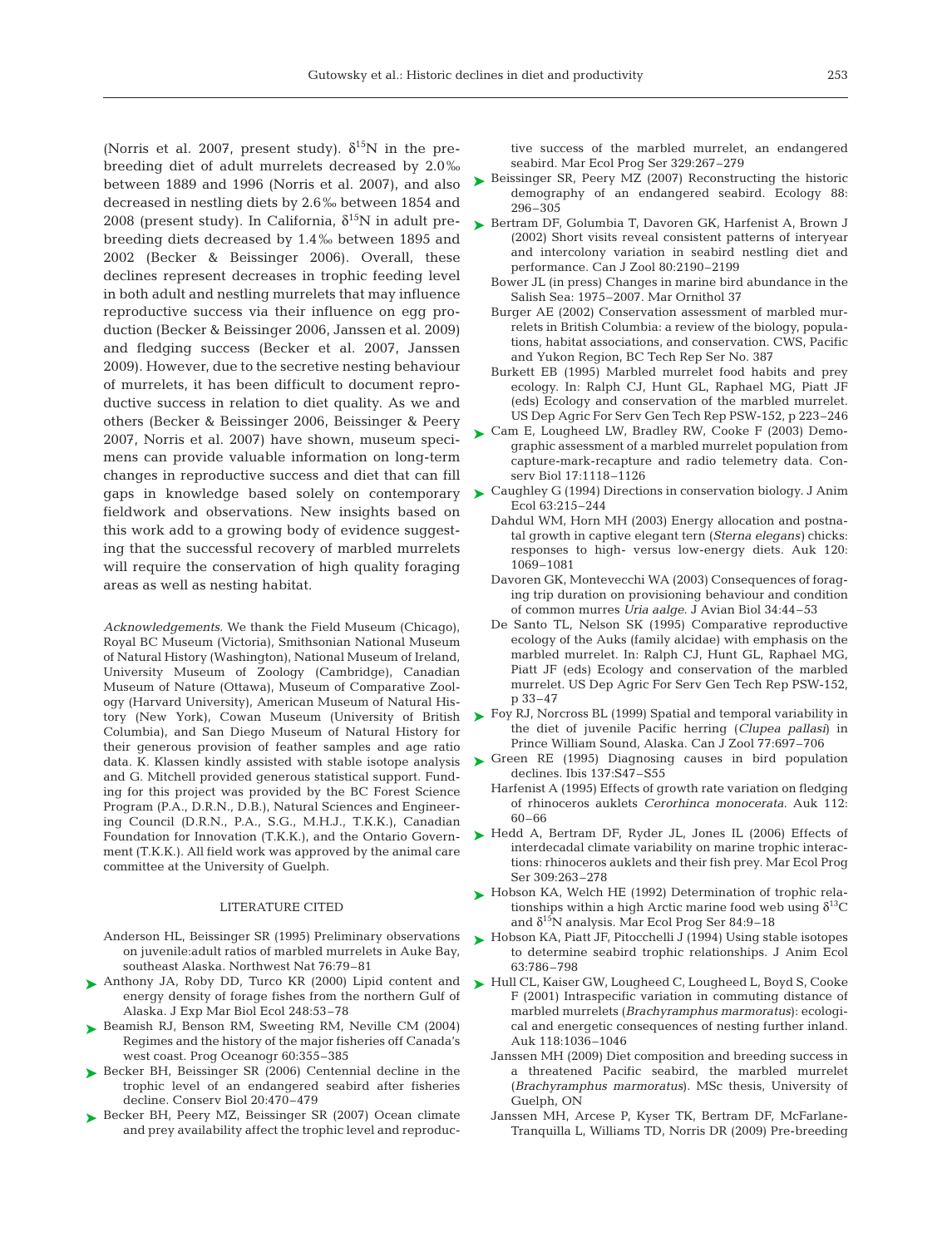(Norris et al. 2007, present study).  $\delta^{15}N$  in the prebreeding diet of adult murrelets decreased by 2.0‰ between 1889 and 1996 (Norris et al. 2007), and also decreased in nestling diets by 2.6‰ between 1854 and 2008 (present study). In California,  $\delta^{15}$ N in adult prebreeding diets decreased by 1.4‰ between 1895 and 2002 (Becker & Beissinger 2006). Overall, these declines represent decreases in trophic feeding level in both adult and nestling murrelets that may influence reproductive success via their influence on egg production (Becker & Beissinger 2006, Janssen et al. 2009) and fledging success (Becker et al. 2007, Janssen 2009). However, due to the secretive nesting behaviour of murrelets, it has been difficult to document reproductive success in relation to diet quality. As we and others (Becker & Beissinger 2006, Beissinger & Peery 2007, Norris et al. 2007) have shown, museum specimens can provide valuable information on long-term changes in reproductive success and diet that can fill fieldwork and observations. New insights based on this work add to a growing body of evidence suggesting that the successful recovery of marbled murrelets will require the conservation of high quality foraging areas as well as nesting habitat.

*Acknowledgements.* We thank the Field Museum (Chicago), Royal BC Museum (Victoria), Smithsonian National Museum of Natural History (Washington), National Museum of Ireland, University Museum of Zoology (Cambridge), Canadian Museum of Nature (Ottawa), Museum of Comparative Zoology (Harvard University), American Museum of Natural History (New York), Cowan Museum (University of British Columbia), and San Diego Museum of Natural History for their generous provision of feather samples and age ratio data. K. Klassen kindly assisted with stable isotope analysis and G. Mitchell provided generous statistical support. Funding for this project was provided by the BC Forest Science Program (P.A., D.R.N., D.B.), Natural Sciences and Engineering Council (D.R.N., P.A., S.G., M.H.J., T.K.K.), Canadian Foundation for Innovation (T.K.K.), and the Ontario Government (T.K.K.). All field work was approved by the animal care committee at the University of Guelph.

#### LITERATURE CITED

- Anderson HL, Beissinger SR (1995) Preliminary observations on juvenile:adult ratios of marbled murrelets in Auke Bay, southeast Alaska. Northwest Nat 76:79–81
- ▶ Anthony JA, Roby DD, Turco KR (2000) Lipid content and energy density of forage fishes from the northern Gulf of Alaska. J Exp Mar Biol Ecol 248:53–78
- ▶ Beamish RJ, Benson RM, Sweeting RM, Neville CM (2004) Regimes and the history of the major fisheries off Canada's west coast. Prog Oceanogr 60:355–385
- ▶ Becker BH, Beissinger SR (2006) Centennial decline in the trophic level of an endangered seabird after fisheries decline. Conserv Biol 20:470–479
- ► Becker BH, Peery MZ, Beissinger SR (2007) Ocean climate and prey availability affect the trophic level and reproduc-

tive success of the marbled murrelet, an endangered seabird. Mar Ecol Prog Ser 329:267–279

- Beissinger SR, Peery MZ (2007) Reconstructing the historic demography of an endangered seabird. Ecology 88: 296–305 ➤
- ► Bertram DF, Golumbia T, Davoren GK, Harfenist A, Brown J (2002) Short visits reveal consistent patterns of interyear and intercolony variation in seabird nestling diet and performance. Can J Zool 80:2190–2199
	- Bower JL (in press) Changes in marine bird abundance in the Salish Sea: 1975–2007. Mar Ornithol 37
	- Burger AE (2002) Conservation assessment of marbled murrelets in British Columbia: a review of the biology, populations, habitat associations, and conservation. CWS, Pacific and Yukon Region, BC Tech Rep Ser No. 387
	- Burkett EB (1995) Marbled murrelet food habits and prey ecology. In: Ralph CJ, Hunt GL, Raphael MG, Piatt JF (eds) Ecology and conservation of the marbled murrelet. US Dep Agric For Serv Gen Tech Rep PSW-152, p 223–246
- ► Cam E, Lougheed LW, Bradley RW, Cooke F (2003) Demographic assessment of a marbled murrelet population from capture-mark-recapture and radio telemetry data. Conserv Biol 17:1118–1126
- gaps in knowledge based solely on contemporary  $\blacktriangleright$  Caughley G (1994) Directions in conservation biology. J Anim Ecol 63:215–244
	- Dahdul WM, Horn MH (2003) Energy allocation and postnatal growth in captive elegant tern (*Sterna elegans)* chicks: responses to high- versus low-energy diets. Auk 120: 1069–1081
	- Davoren GK, Montevecchi WA (2003) Consequences of foraging trip duration on provisioning behaviour and condition of common murres *Uria aalge*. J Avian Biol 34:44–53
	- De Santo TL, Nelson SK (1995) Comparative reproductive ecology of the Auks (family alcidae) with emphasis on the marbled murrelet. In: Ralph CJ, Hunt GL, Raphael MG, Piatt JF (eds) Ecology and conservation of the marbled murrelet. US Dep Agric For Serv Gen Tech Rep PSW-152, p 33–47
	- ► Foy RJ, Norcross BL (1999) Spatial and temporal variability in the diet of juvenile Pacific herring (*Clupea pallasi*) in Prince William Sound, Alaska. Can J Zool 77:697–706
	- ▶ Green RE (1995) Diagnosing causes in bird population declines. Ibis 137:S47–S55
		- Harfenist A (1995) Effects of growth rate variation on fledging of rhinoceros auklets *Cerorhinca monocerata*. Auk 112: 60–66
	- ▶ Hedd A, Bertram DF, Ryder JL, Jones IL (2006) Effects of interdecadal climate variability on marine trophic interactions: rhinoceros auklets and their fish prey. Mar Ecol Prog Ser 309:263–278
	- ► Hobson KA, Welch HE (1992) Determination of trophic relationships within a high Arctic marine food web using  $\delta^{13}C$ and  $\delta^{15}N$  analysis. Mar Ecol Prog Ser 84:9–18
	- ► Hobson KA, Piatt JF, Pitocchelli J (1994) Using stable isotopes to determine seabird trophic relationships. J Anim Ecol 63:786–798
	- ► Hull CL, Kaiser GW, Lougheed C, Lougheed L, Boyd S, Cooke F (2001) Intraspecific variation in commuting distance of marbled murrelets (*Brachyramphus marmoratus*): ecological and energetic consequences of nesting further inland. Auk 118:1036–1046
		- Janssen MH (2009) Diet composition and breeding success in a threatened Pacific seabird, the marbled murrelet (*Brachyramphus marmoratus*). MSc thesis, University of Guelph, ON
		- Janssen MH, Arcese P, Kyser TK, Bertram DF, McFarlane-Tranquilla L, Williams TD, Norris DR (2009) Pre-breeding